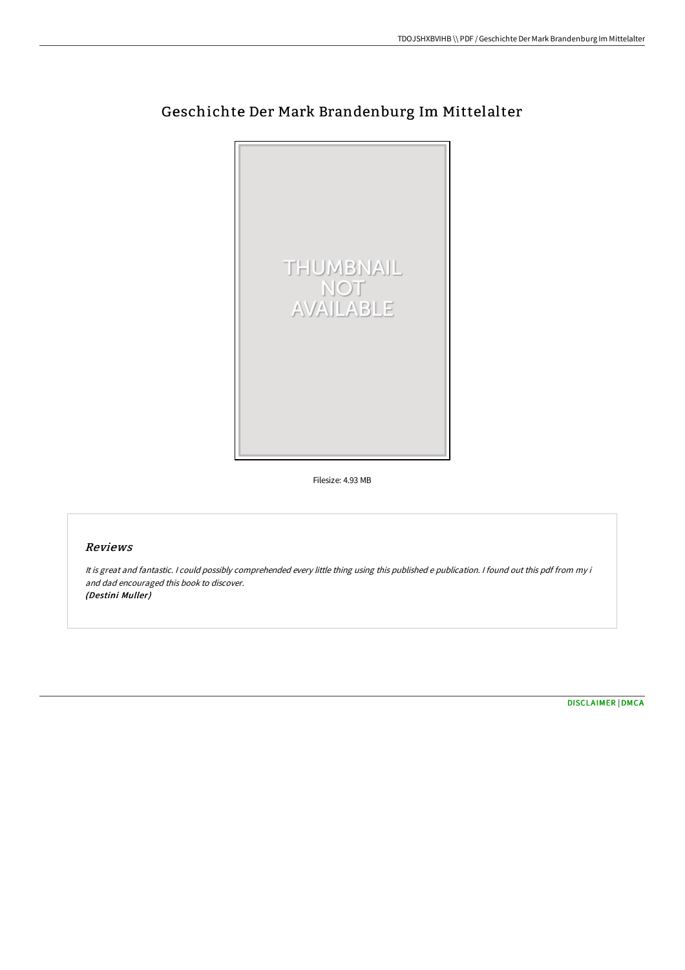

# Geschichte Der Mark Brandenburg Im Mittelalter

Filesize: 4.93 MB

#### Reviews

It is great and fantastic. <sup>I</sup> could possibly comprehended every little thing using this published <sup>e</sup> publication. <sup>I</sup> found out this pdf from my i and dad encouraged this book to discover. (Destini Muller)

[DISCLAIMER](http://techno-pub.tech/disclaimer.html) | [DMCA](http://techno-pub.tech/dmca.html)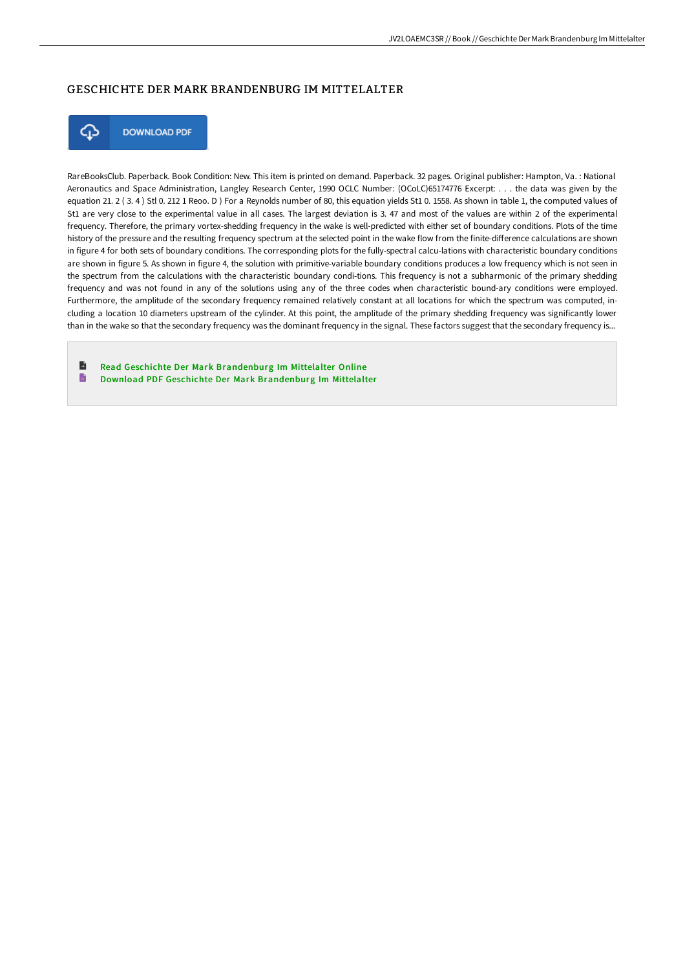### GESCHICHTE DER MARK BRANDENBURG IM MITTELALTER



**DOWNLOAD PDF** 

RareBooksClub. Paperback. Book Condition: New. This item is printed on demand. Paperback. 32 pages. Original publisher: Hampton, Va. : National Aeronautics and Space Administration, Langley Research Center, 1990 OCLC Number: (OCoLC)65174776 Excerpt: . . . the data was given by the equation 21. 2 (3.4) Stl 0. 212 1 Reoo. D) For a Reynolds number of 80, this equation yields St1 0. 1558. As shown in table 1, the computed values of St1 are very close to the experimental value in all cases. The largest deviation is 3. 47 and most of the values are within 2 of the experimental frequency. Therefore, the primary vortex-shedding frequency in the wake is well-predicted with either set of boundary conditions. Plots of the time history of the pressure and the resulting frequency spectrum at the selected point in the wake flow from the finite-difference calculations are shown in figure 4 for both sets of boundary conditions. The corresponding plots for the fully-spectral calcu-lations with characteristic boundary conditions are shown in figure 5. As shown in figure 4, the solution with primitive-variable boundary conditions produces a low frequency which is not seen in the spectrum from the calculations with the characteristic boundary condi-tions. This frequency is not a subharmonic of the primary shedding frequency and was not found in any of the solutions using any of the three codes when characteristic bound-ary conditions were employed. Furthermore, the amplitude of the secondary frequency remained relatively constant at all locations for which the spectrum was computed, including a location 10 diameters upstream of the cylinder. At this point, the amplitude of the primary shedding frequency was significantly lower than in the wake so that the secondary frequency was the dominant frequency in the signal. These factors suggest that the secondary frequency is...

B Read Geschichte Der Mark [Brandenburg](http://techno-pub.tech/geschichte-der-mark-brandenburg-im-mittelalter.html) Im Mittelalter Online h Download PDF Geschichte Der Mark [Brandenburg](http://techno-pub.tech/geschichte-der-mark-brandenburg-im-mittelalter.html) Im Mittelalter